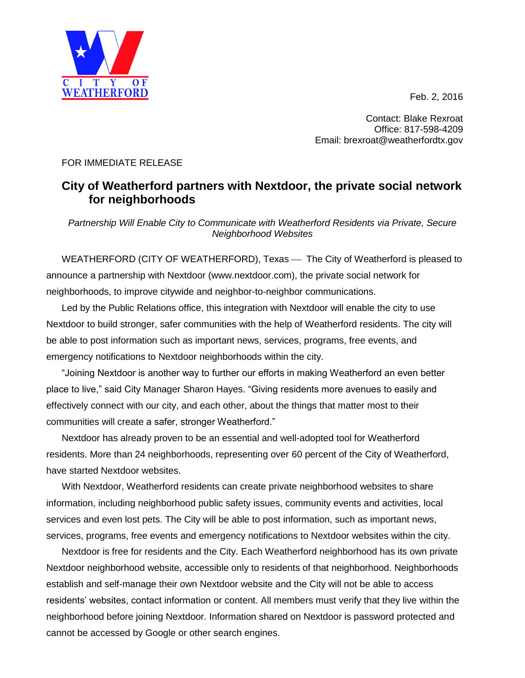Feb. 2, 2016



Contact: Blake Rexroat Office: 817-598-4209 Email: brexroat@weatherfordtx.gov

## FOR IMMEDIATE RELEASE

## **City of Weatherford partners with Nextdoor, the private social network for neighborhoods**

*Partnership Will Enable City to Communicate with Weatherford Residents via Private, Secure Neighborhood Websites*

WEATHERFORD (CITY OF WEATHERFORD), Texas — The City of Weatherford is pleased to announce a partnership with Nextdoor (www.nextdoor.com), the private social network for neighborhoods, to improve citywide and neighbor-to-neighbor communications.

Led by the Public Relations office, this integration with Nextdoor will enable the city to use Nextdoor to build stronger, safer communities with the help of Weatherford residents. The city will be able to post information such as important news, services, programs, free events, and emergency notifications to Nextdoor neighborhoods within the city.

"Joining Nextdoor is another way to further our efforts in making Weatherford an even better place to live," said City Manager Sharon Hayes. "Giving residents more avenues to easily and effectively connect with our city, and each other, about the things that matter most to their communities will create a safer, stronger Weatherford."

Nextdoor has already proven to be an essential and well-adopted tool for Weatherford residents. More than 24 neighborhoods, representing over 60 percent of the City of Weatherford, have started Nextdoor websites.

With Nextdoor, Weatherford residents can create private neighborhood websites to share information, including neighborhood public safety issues, community events and activities, local services and even lost pets. The City will be able to post information, such as important news, services, programs, free events and emergency notifications to Nextdoor websites within the city.

Nextdoor is free for residents and the City. Each Weatherford neighborhood has its own private Nextdoor neighborhood website, accessible only to residents of that neighborhood. Neighborhoods establish and self-manage their own Nextdoor website and the City will not be able to access residents' websites, contact information or content. All members must verify that they live within the neighborhood before joining Nextdoor. Information shared on Nextdoor is password protected and cannot be accessed by Google or other search engines.